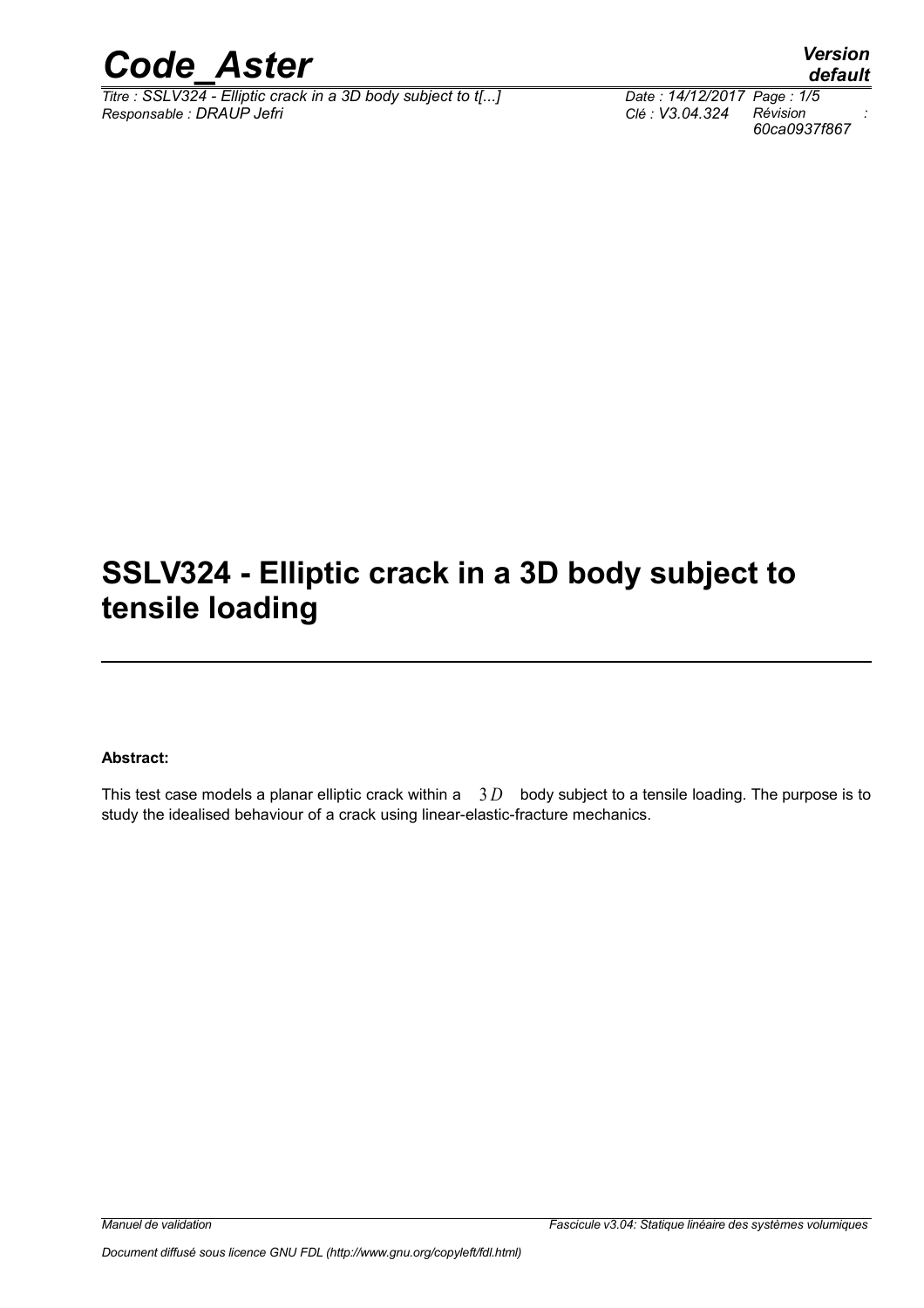

*Titre : SSLV324 - Elliptic crack in a 3D body subject to t[...] Date : 14/12/2017 Page : 1/5 Responsable : DRAUP Jefri Clé : V3.04.324 Révision :*

# **SSLV324 - Elliptic crack in a 3D body subject to tensile loading**

#### **Abstract:**

This test case models a planar elliptic crack within a 3D body subject to a tensile loading. The purpose is to study the idealised behaviour of a crack using linear-elastic-fracture mechanics.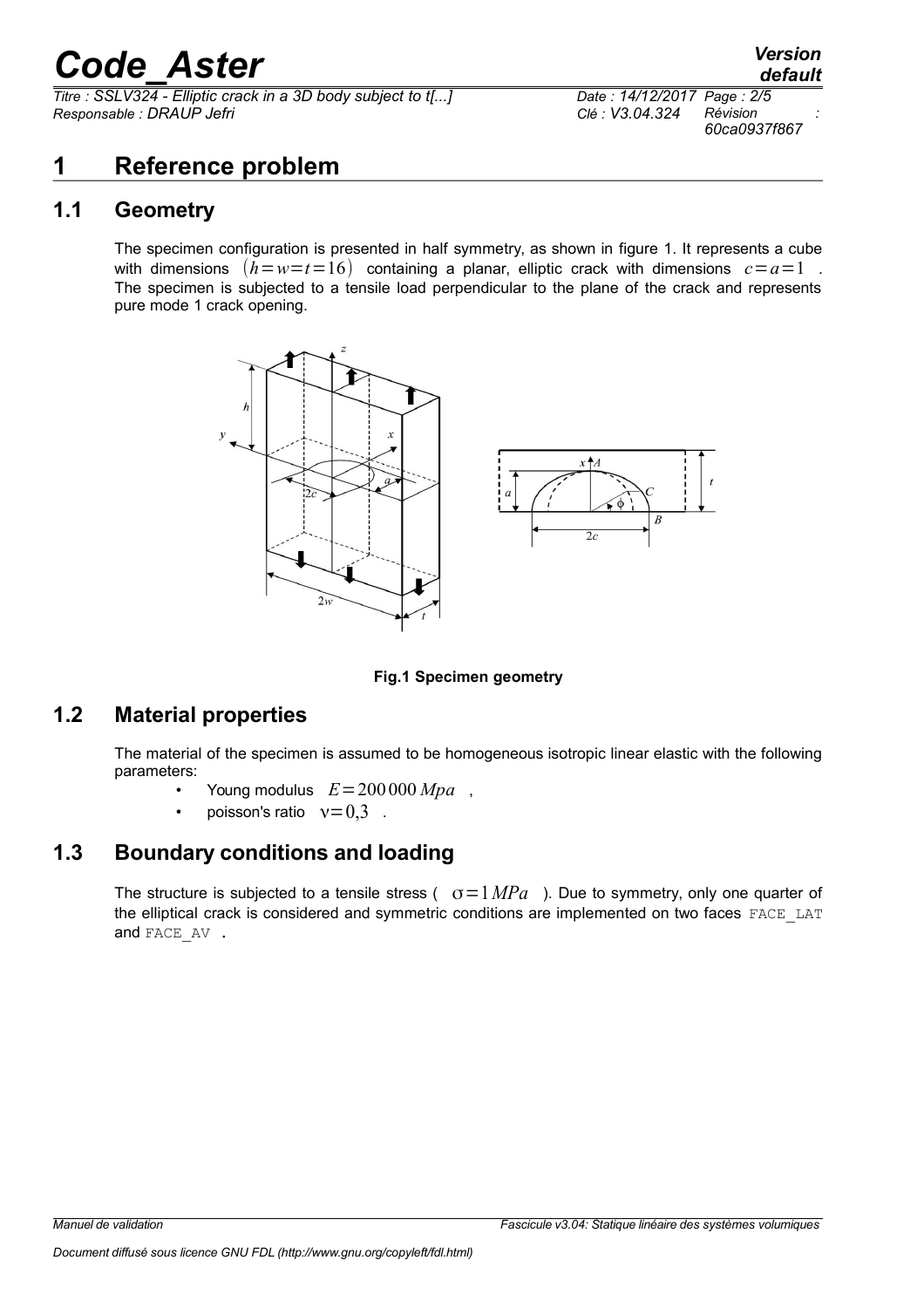*Titre : SSLV324 - Elliptic crack in a 3D body subject to t[...] Responsable : DRAUP Jefri Clé : V3.04.324 Révision :*

*60ca0937f867*

### **1 Reference problem**

#### **1.1 Geometry**

The specimen configuration is presented in half symmetry, as shown in figure 1. It represents a cube with dimensions  $(h = w = t = 16)$  containing a planar, elliptic crack with dimensions  $c = a = 1$ . The specimen is subjected to a tensile load perpendicular to the plane of the crack and represents pure mode 1 crack opening.



#### **Fig.1 Specimen geometry**

#### **1.2 Material properties**

The material of the specimen is assumed to be homogeneous isotropic linear elastic with the following parameters:

- Young modulus  $E = 200 000 Mpa$ ,
- poisson's ratio  $v=0.3$ .

#### **1.3 Boundary conditions and loading**

The structure is subjected to a tensile stress ( $\sigma = 1 MPa$ ). Due to symmetry, only one quarter of the elliptical crack is considered and symmetric conditions are implemented on two faces FACE\_LAT and FACE AV .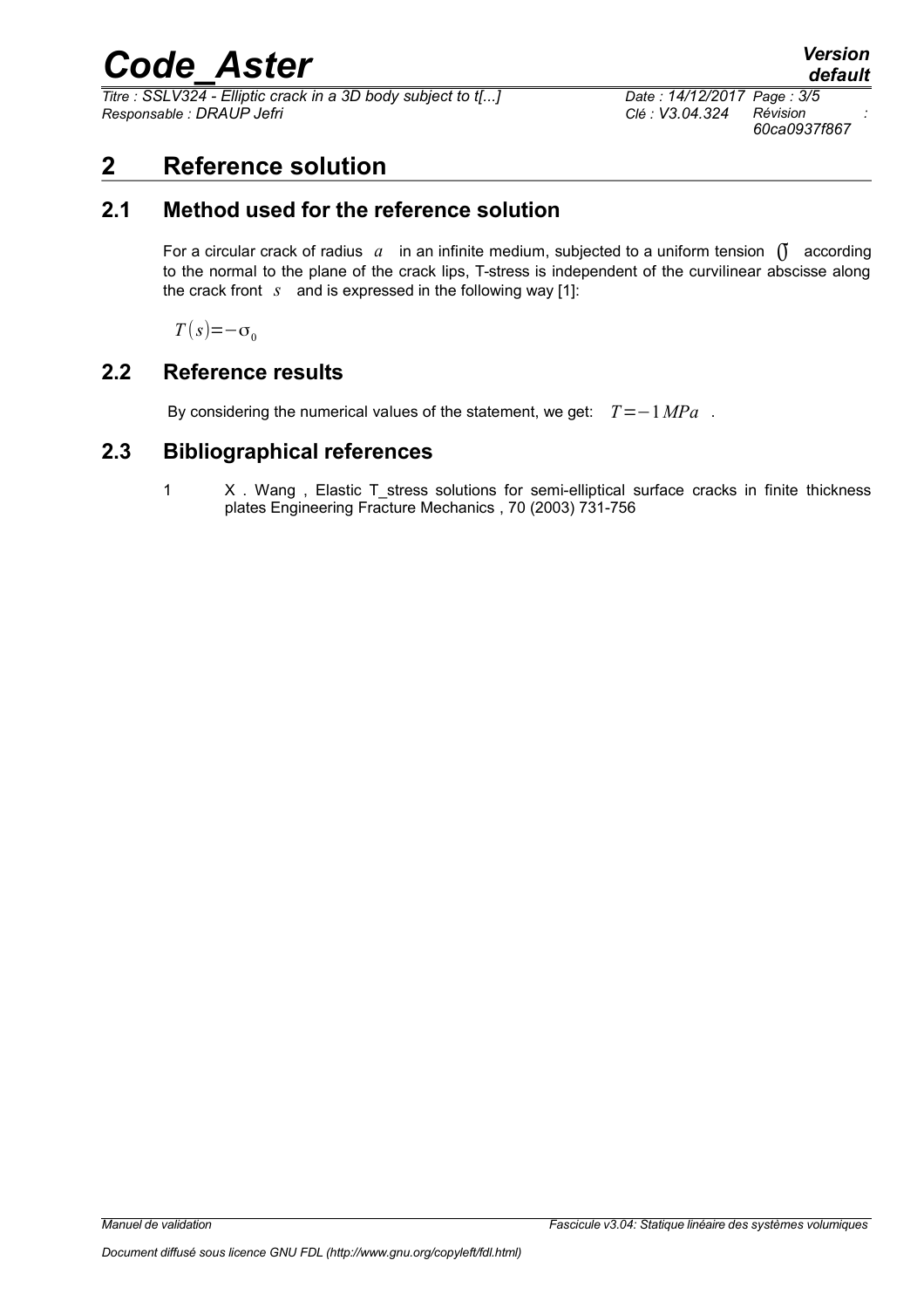*Titre : SSLV324 - Elliptic crack in a 3D body subject to t[...] Date : 14/12/2017 Page : 3/5 Responsable : DRAUP Jefri Clé : V3.04.324 Révision :*

*60ca0937f867*

### **2 Reference solution**

#### **2.1 Method used for the reference solution**

For a circular crack of radius  $a$  in an infinite medium, subjected to a uniform tension  $\int$  according to the normal to the plane of the crack lips, T-stress is independent of the curvilinear abscisse along the crack front *s* and is expressed in the following way [1]:

 $T(s)=-\sigma_0$ 

#### **2.2 Reference results**

By considering the numerical values of the statement, we get: *T*=−1*MPa* .

#### **2.3 Bibliographical references**

1 X . Wang, Elastic T stress solutions for semi-elliptical surface cracks in finite thickness plates Engineering Fracture Mechanics , 70 (2003) 731-756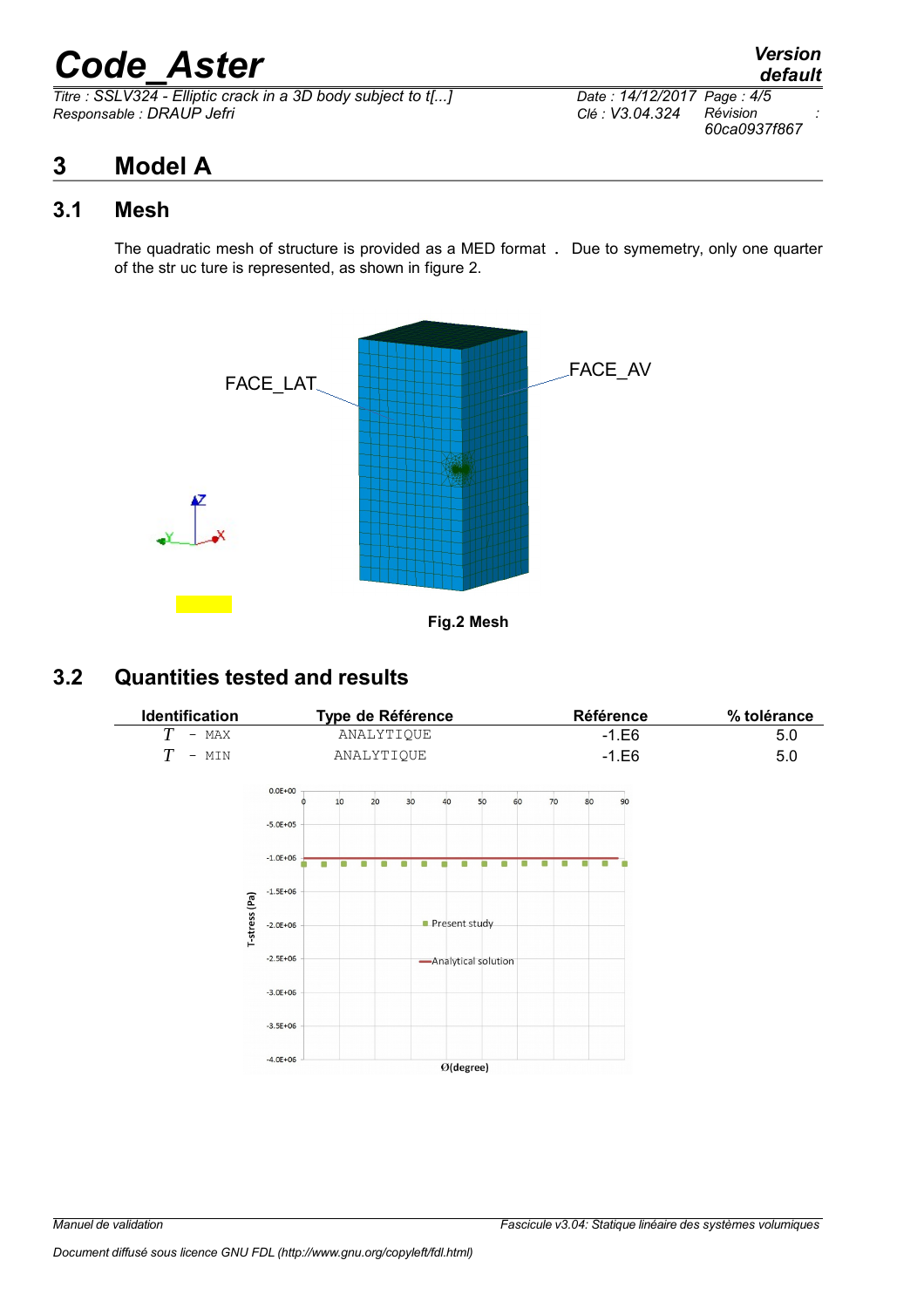*Titre : SSLV324 - Elliptic crack in a 3D body subject to t[...] Date : 14/12/2017 Page : 4/5 Responsable : DRAUP Jefri Clé : V3.04.324 Révision :*

## *default 60ca0937f867*

## **3 Model A**

#### **3.1 Mesh**

The quadratic mesh of structure is provided as a MED format . Due to symemetry, only one quarter of the str uc ture is represented, as shown in figure 2.



**Fig.2 Mesh** 

### **3.2 Quantities tested and results**